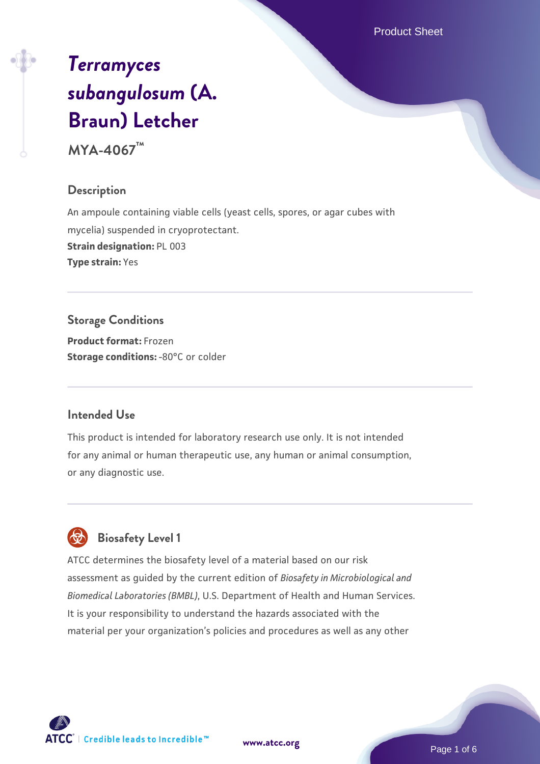Product Sheet

# *[Terramyces](https://www.atcc.org/products/mya-4067) [subangulosum](https://www.atcc.org/products/mya-4067)* **[\(A.](https://www.atcc.org/products/mya-4067) [Braun\) Letcher](https://www.atcc.org/products/mya-4067)**

**MYA-4067™**

#### **Description**

An ampoule containing viable cells (yeast cells, spores, or agar cubes with mycelia) suspended in cryoprotectant. **Strain designation:** PL 003 **Type strain:** Yes

# **Storage Conditions**

**Product format:** Frozen **Storage conditions: -80°C or colder** 

#### **Intended Use**

This product is intended for laboratory research use only. It is not intended for any animal or human therapeutic use, any human or animal consumption, or any diagnostic use.



# **Biosafety Level 1**

ATCC determines the biosafety level of a material based on our risk assessment as guided by the current edition of *Biosafety in Microbiological and Biomedical Laboratories (BMBL)*, U.S. Department of Health and Human Services. It is your responsibility to understand the hazards associated with the material per your organization's policies and procedures as well as any other

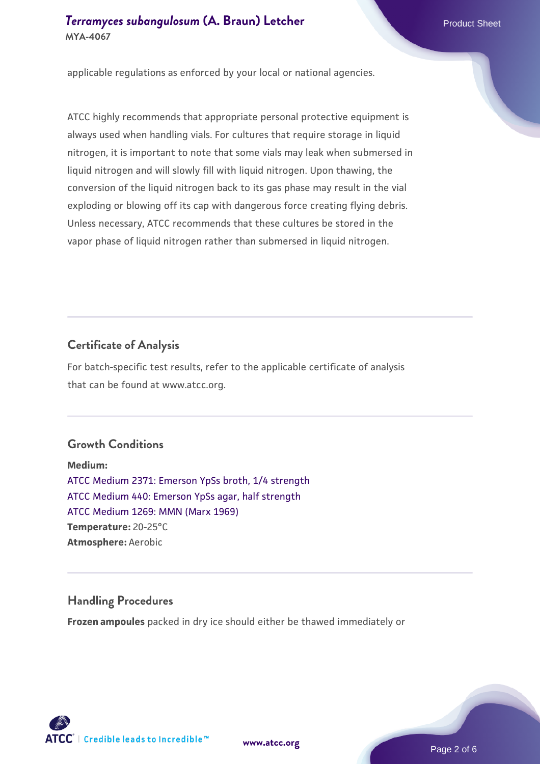# *[Terramyces subangulosum](https://www.atcc.org/products/mya-4067)* **[\(A. Braun\) Letcher](https://www.atcc.org/products/mya-4067) <b>Product Sheet** Product Sheet **MYA-4067**

applicable regulations as enforced by your local or national agencies.

ATCC highly recommends that appropriate personal protective equipment is always used when handling vials. For cultures that require storage in liquid nitrogen, it is important to note that some vials may leak when submersed in liquid nitrogen and will slowly fill with liquid nitrogen. Upon thawing, the conversion of the liquid nitrogen back to its gas phase may result in the vial exploding or blowing off its cap with dangerous force creating flying debris. Unless necessary, ATCC recommends that these cultures be stored in the vapor phase of liquid nitrogen rather than submersed in liquid nitrogen.

## **Certificate of Analysis**

For batch-specific test results, refer to the applicable certificate of analysis that can be found at www.atcc.org.

# **Growth Conditions**

**Medium:**  [ATCC Medium 2371: Emerson YpSs broth, 1/4 strength](https://www.atcc.org/-/media/product-assets/documents/microbial-media-formulations/3/7/1/atcc-medium-2371.pdf?rev=875fae8e92a84310a31bd2cbf48d2bc2) [ATCC Medium 440: Emerson YpSs agar, half strength](https://www.atcc.org/-/media/product-assets/documents/microbial-media-formulations/4/4/0/atcc-medium-440.pdf?rev=47cb16bd95d94ca6b0e43588f956e0bc) [ATCC Medium 1269: MMN \(Marx 1969\)](https://www.atcc.org/-/media/product-assets/documents/microbial-media-formulations/1/2/6/9/atcc-medium-1269.pdf?rev=afcf8eba0bad4acbb85bc31250856791) **Temperature:** 20-25°C **Atmosphere:** Aerobic

# **Handling Procedures**

**Frozen ampoules** packed in dry ice should either be thawed immediately or

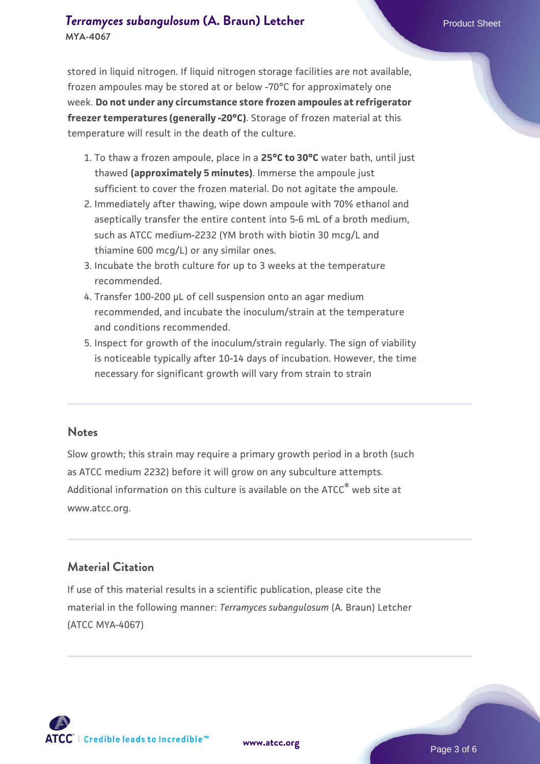stored in liquid nitrogen. If liquid nitrogen storage facilities are not available, frozen ampoules may be stored at or below -70°C for approximately one week. **Do not under any circumstance store frozen ampoules at refrigerator freezer temperatures (generally -20°C)**. Storage of frozen material at this temperature will result in the death of the culture.

- 1. To thaw a frozen ampoule, place in a **25°C to 30°C** water bath, until just thawed **(approximately 5 minutes)**. Immerse the ampoule just sufficient to cover the frozen material. Do not agitate the ampoule.
- 2. Immediately after thawing, wipe down ampoule with 70% ethanol and aseptically transfer the entire content into 5-6 mL of a broth medium, such as ATCC medium-2232 (YM broth with biotin 30 mcg/L and thiamine 600 mcg/L) or any similar ones.
- Incubate the broth culture for up to 3 weeks at the temperature 3. recommended.
- 4. Transfer 100-200 µL of cell suspension onto an agar medium recommended, and incubate the inoculum/strain at the temperature and conditions recommended.
- 5. Inspect for growth of the inoculum/strain regularly. The sign of viability is noticeable typically after 10-14 days of incubation. However, the time necessary for significant growth will vary from strain to strain

#### **Notes**

Slow growth; this strain may require a primary growth period in a broth (such as ATCC medium 2232) before it will grow on any subculture attempts. Additional information on this culture is available on the ATCC<sup>®</sup> web site at www.atcc.org.

#### **Material Citation**

If use of this material results in a scientific publication, please cite the material in the following manner: *Terramyces subangulosum* (A. Braun) Letcher (ATCC MYA-4067)



**[www.atcc.org](http://www.atcc.org)**

Page 3 of 6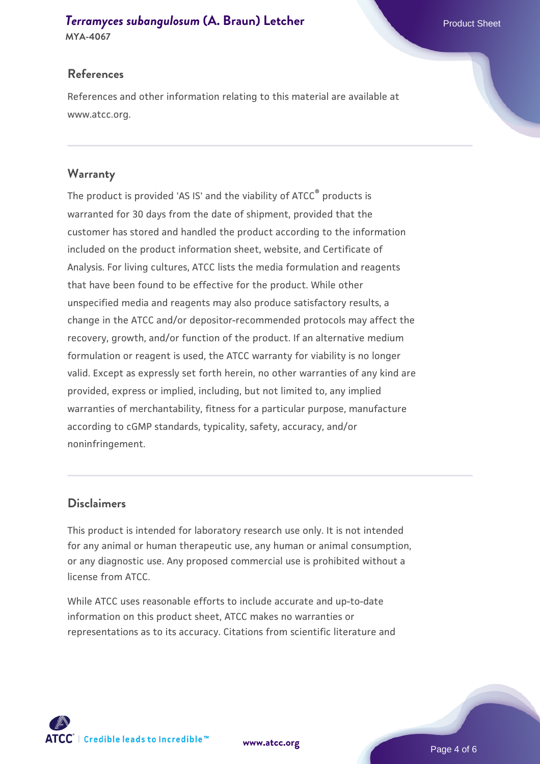# *[Terramyces subangulosum](https://www.atcc.org/products/mya-4067)* **[\(A. Braun\) Letcher](https://www.atcc.org/products/mya-4067) <b>Product Sheet** Product Sheet

**MYA-4067**

# **References**

References and other information relating to this material are available at www.atcc.org.

# **Warranty**

The product is provided 'AS IS' and the viability of ATCC® products is warranted for 30 days from the date of shipment, provided that the customer has stored and handled the product according to the information included on the product information sheet, website, and Certificate of Analysis. For living cultures, ATCC lists the media formulation and reagents that have been found to be effective for the product. While other unspecified media and reagents may also produce satisfactory results, a change in the ATCC and/or depositor-recommended protocols may affect the recovery, growth, and/or function of the product. If an alternative medium formulation or reagent is used, the ATCC warranty for viability is no longer valid. Except as expressly set forth herein, no other warranties of any kind are provided, express or implied, including, but not limited to, any implied warranties of merchantability, fitness for a particular purpose, manufacture according to cGMP standards, typicality, safety, accuracy, and/or noninfringement.

#### **Disclaimers**

This product is intended for laboratory research use only. It is not intended for any animal or human therapeutic use, any human or animal consumption, or any diagnostic use. Any proposed commercial use is prohibited without a license from ATCC.

While ATCC uses reasonable efforts to include accurate and up-to-date information on this product sheet, ATCC makes no warranties or representations as to its accuracy. Citations from scientific literature and

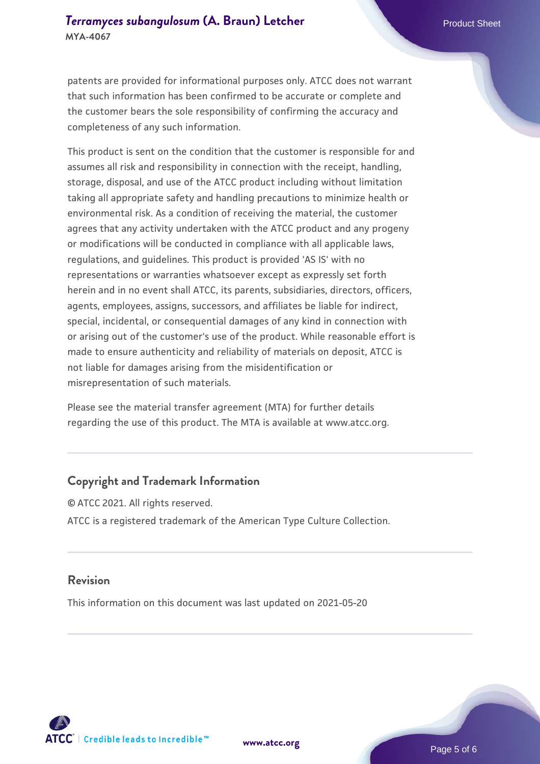### *[Terramyces subangulosum](https://www.atcc.org/products/mya-4067)* **[\(A. Braun\) Letcher](https://www.atcc.org/products/mya-4067) <b>Product Sheet** Product Sheet **MYA-4067**

patents are provided for informational purposes only. ATCC does not warrant that such information has been confirmed to be accurate or complete and the customer bears the sole responsibility of confirming the accuracy and completeness of any such information.

This product is sent on the condition that the customer is responsible for and assumes all risk and responsibility in connection with the receipt, handling, storage, disposal, and use of the ATCC product including without limitation taking all appropriate safety and handling precautions to minimize health or environmental risk. As a condition of receiving the material, the customer agrees that any activity undertaken with the ATCC product and any progeny or modifications will be conducted in compliance with all applicable laws, regulations, and guidelines. This product is provided 'AS IS' with no representations or warranties whatsoever except as expressly set forth herein and in no event shall ATCC, its parents, subsidiaries, directors, officers, agents, employees, assigns, successors, and affiliates be liable for indirect, special, incidental, or consequential damages of any kind in connection with or arising out of the customer's use of the product. While reasonable effort is made to ensure authenticity and reliability of materials on deposit, ATCC is not liable for damages arising from the misidentification or misrepresentation of such materials.

Please see the material transfer agreement (MTA) for further details regarding the use of this product. The MTA is available at www.atcc.org.

#### **Copyright and Trademark Information**

© ATCC 2021. All rights reserved. ATCC is a registered trademark of the American Type Culture Collection.

#### **Revision**

This information on this document was last updated on 2021-05-20



**[www.atcc.org](http://www.atcc.org)**

Page 5 of 6